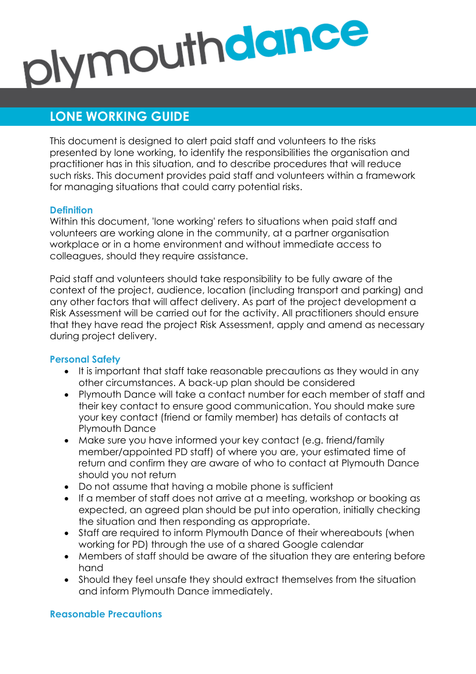# plymouthdance

# **LONE WORKING GUIDE**

This document is designed to alert paid staff and volunteers to the risks presented by lone working, to identify the responsibilities the organisation and practitioner has in this situation, and to describe procedures that will reduce such risks. This document provides paid staff and volunteers within a framework for managing situations that could carry potential risks.

# **Definition**

Within this document, 'lone working' refers to situations when paid staff and volunteers are working alone in the community, at a partner organisation workplace or in a home environment and without immediate access to colleagues, should they require assistance.

Paid staff and volunteers should take responsibility to be fully aware of the context of the project, audience, location (including transport and parking) and any other factors that will affect delivery. As part of the project development a Risk Assessment will be carried out for the activity. All practitioners should ensure that they have read the project Risk Assessment, apply and amend as necessary during project delivery.

# **Personal Safety**

- It is important that staff take reasonable precautions as they would in any other circumstances. A back-up plan should be considered
- Plymouth Dance will take a contact number for each member of staff and their key contact to ensure good communication. You should make sure your key contact (friend or family member) has details of contacts at Plymouth Dance
- Make sure you have informed your key contact (e.g. friend/family member/appointed PD staff) of where you are, your estimated time of return and confirm they are aware of who to contact at Plymouth Dance should you not return
- Do not assume that having a mobile phone is sufficient
- If a member of staff does not arrive at a meeting, workshop or booking as expected, an agreed plan should be put into operation, initially checking the situation and then responding as appropriate.
- Staff are required to inform Plymouth Dance of their whereabouts (when working for PD) through the use of a shared Google calendar
- Members of staff should be aware of the situation they are entering before hand
- Should they feel unsafe they should extract themselves from the situation and inform Plymouth Dance immediately.

#### **Reasonable Precautions**